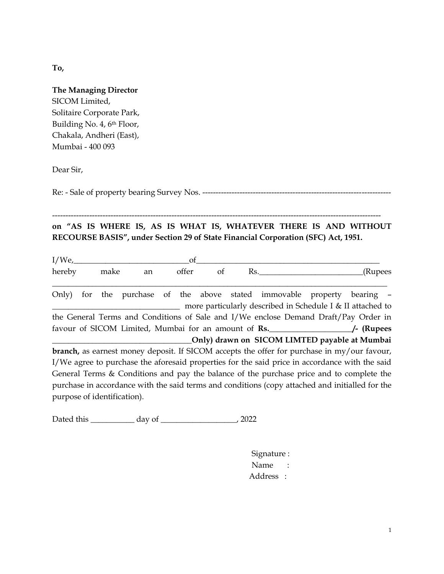**To,**

| <b>The Managing Director</b> |
|------------------------------|
| SICOM Limited,               |
| Solitaire Corporate Park,    |
| Building No. 4, 6th Floor,   |
| Chakala, Andheri (East),     |
| Mumbai - 400 093             |
|                              |

Dear Sir,

Re: - Sale of property bearing Survey Nos. -----------------------------------------------------------------------

--------------------------------------------------------------------------------------------------------------------------- **on "AS IS WHERE IS, AS IS WHAT IS, WHATEVER THERE IS AND WITHOUT RECOURSE BASIS", under Section 29 of State Financial Corporation (SFC) Act, 1951.**

| $I/We_{L}$                                                                                  |     |      |    |  | of    |    |                                                                                                 |         |
|---------------------------------------------------------------------------------------------|-----|------|----|--|-------|----|-------------------------------------------------------------------------------------------------|---------|
| hereby                                                                                      |     | make | an |  | offer | of | Rs.                                                                                             | (Rupees |
| Only)                                                                                       | for |      |    |  |       |    | the purchase of the above stated immovable property bearing –                                   |         |
|                                                                                             |     |      |    |  |       |    | more particularly described in Schedule I & II attached to                                      |         |
|                                                                                             |     |      |    |  |       |    | the General Terms and Conditions of Sale and I/We enclose Demand Draft/Pay Order in             |         |
| favour of SICOM Limited, Mumbai for an amount of Rs. 4. The SICOM Compared A.               |     |      |    |  |       |    |                                                                                                 |         |
| Only) drawn on SICOM LIMTED payable at Mumbai                                               |     |      |    |  |       |    |                                                                                                 |         |
|                                                                                             |     |      |    |  |       |    | branch, as earnest money deposit. If SICOM accepts the offer for purchase in my/our favour,     |         |
|                                                                                             |     |      |    |  |       |    | I/We agree to purchase the aforesaid properties for the said price in accordance with the said  |         |
| General Terms $\&$ Conditions and pay the balance of the purchase price and to complete the |     |      |    |  |       |    |                                                                                                 |         |
|                                                                                             |     |      |    |  |       |    | purchase in accordance with the said terms and conditions (copy attached and initialled for the |         |
| purpose of identification).                                                                 |     |      |    |  |       |    |                                                                                                 |         |

Dated this \_\_\_\_\_\_\_\_\_\_\_ day of \_\_\_\_\_\_\_\_\_\_\_\_\_\_\_\_\_\_\_, 2022

 Signature : Name : Address :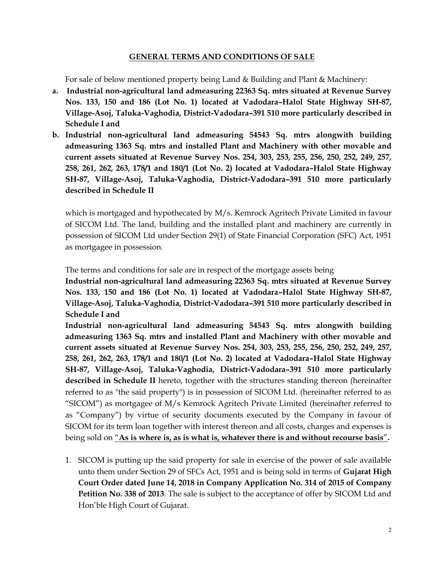### **GENERAL TERMS AND CONDITIONS OF SALE**

For sale of below mentioned property being Land & Building and Plant & Machinery:

- **a. Industrial non-agricultural land admeasuring 22363 Sq. mtrs situated at Revenue Survey Nos. 133, 150 and 186 (Lot No. 1) located at Vadodara–Halol State Highway SH-87, Village-Asoj, Taluka-Vaghodia, District-Vadodara–391 510 more particularly described in Schedule I and**
- **b. Industrial non-agricultural land admeasuring 54543 Sq. mtrs alongwith building admeasuring 1363 Sq. mtrs and installed Plant and Machinery with other movable and current assets situated at Revenue Survey Nos. 254, 303, 253, 255, 256, 250, 252, 249, 257, 258, 261, 262, 263, 178/1 and 180/1 (Lot No. 2) located at Vadodara–Halol State Highway SH-87, Village-Asoj, Taluka-Vaghodia, District-Vadodara–391 510 more particularly described in Schedule II**

which is mortgaged and hypothecated by M/s. Kemrock Agritech Private Limited in favour of SICOM Ltd. The land, building and the installed plant and machinery are currently in possession of SICOM Ltd under Section 29(1) of State Financial Corporation (SFC) Act, 1951 as mortgagee in possession.

The terms and conditions for sale are in respect of the mortgage assets being

**Industrial non-agricultural land admeasuring 22363 Sq. mtrs situated at Revenue Survey Nos. 133, 150 and 186 (Lot No. 1) located at Vadodara–Halol State Highway SH-87, Village-Asoj, Taluka-Vaghodia, District-Vadodara–391 510 more particularly described in Schedule I and**

**Industrial non-agricultural land admeasuring 54543 Sq. mtrs alongwith building admeasuring 1363 Sq. mtrs and installed Plant and Machinery with other movable and current assets situated at Revenue Survey Nos. 254, 303, 253, 255, 256, 250, 252, 249, 257, 258, 261, 262, 263, 178/1 and 180/1 (Lot No. 2) located at Vadodara–Halol State Highway SH-87, Village-Asoj, Taluka-Vaghodia, District-Vadodara–391 510 more particularly described in Schedule II** hereto, together with the structures standing thereon (hereinafter referred to as "the said property") is in possession of SICOM Ltd. (hereinafter referred to as "SICOM") as mortgagee of M/s Kemrock Agritech Private Limited (hereinafter referred to as "Company") by virtue of security documents executed by the Company in favour of SICOM for its term loan together with interest thereon and all costs, charges and expenses is being sold on "**As is where is, as is what is, whatever there is and without recourse basis**"**.**

1. SICOM is putting up the said property for sale in exercise of the power of sale available unto them under Section 29 of SFCs Act, 1951 and is being sold in terms of **Gujarat High Court Order dated June 14, 2018 in Company Application No. 314 of 2015 of Company Petition No. 338 of 2013**. The sale is subject to the acceptance of offer by SICOM Ltd and Hon'ble High Court of Gujarat.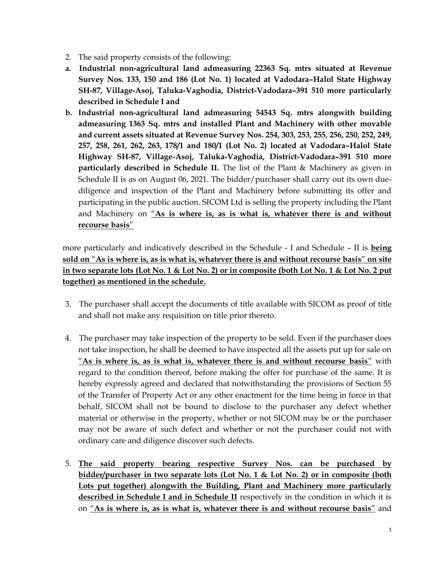- 2. The said property consists of the following:
- **a. Industrial non-agricultural land admeasuring 22363 Sq. mtrs situated at Revenue Survey Nos. 133, 150 and 186 (Lot No. 1) located at Vadodara–Halol State Highway SH-87, Village-Asoj, Taluka-Vaghodia, District-Vadodara–391 510 more particularly described in Schedule I and**
- **b. Industrial non-agricultural land admeasuring 54543 Sq. mtrs alongwith building admeasuring 1363 Sq. mtrs and installed Plant and Machinery with other movable and current assets situated at Revenue Survey Nos. 254, 303, 253, 255, 256, 250, 252, 249, 257, 258, 261, 262, 263, 178/1 and 180/1 (Lot No. 2) located at Vadodara–Halol State Highway SH-87, Village-Asoj, Taluka-Vaghodia, District-Vadodara–391 510 more particularly described in Schedule II.** The list of the Plant & Machinery as given in Schedule II is as on August 06, 2021. The bidder/purchaser shall carry out its own duediligence and inspection of the Plant and Machinery before submitting its offer and participating in the public auction. SICOM Ltd is selling the property including the Plant and Machinery on "**As is where is, as is what is, whatever there is and without recourse basis**"

more particularly and indicatively described in the Schedule - I and Schedule – II is **being sold on** "**As is where is, as is what is, whatever there is and without recourse basis**" **on site in two separate lots (Lot No. 1 & Lot No. 2) or in composite (both Lot No. 1 & Lot No. 2 put together) as mentioned in the schedule.**

- 3. The purchaser shall accept the documents of title available with SICOM as proof of title and shall not make any requisition on title prior thereto.
- 4. The purchaser may take inspection of the property to be sold. Even if the purchaser does not take inspection, he shall be deemed to have inspected all the assets put up for sale on "**As is where is, as is what is, whatever there is and without recourse basis**" with regard to the condition thereof, before making the offer for purchase of the same. It is hereby expressly agreed and declared that notwithstanding the provisions of Section 55 of the Transfer of Property Act or any other enactment for the time being in force in that behalf, SICOM shall not be bound to disclose to the purchaser any defect whether material or otherwise in the property, whether or not SICOM may be or the purchaser may not be aware of such defect and whether or not the purchaser could not with ordinary care and diligence discover such defects.
- 5. **The said property bearing respective Survey Nos. can be purchased by bidder/purchaser in two separate lots (Lot No. 1 & Lot No. 2) or in composite (both Lots put together) alongwith the Building, Plant and Machinery more particularly described in Schedule I and in Schedule II** respectively in the condition in which it is on "**As is where is, as is what is, whatever there is and without recourse basis**" and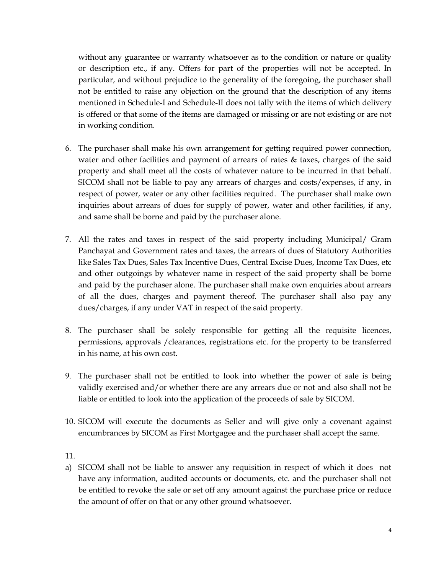without any guarantee or warranty whatsoever as to the condition or nature or quality or description etc., if any. Offers for part of the properties will not be accepted. In particular, and without prejudice to the generality of the foregoing, the purchaser shall not be entitled to raise any objection on the ground that the description of any items mentioned in Schedule-I and Schedule-II does not tally with the items of which delivery is offered or that some of the items are damaged or missing or are not existing or are not in working condition.

- 6. The purchaser shall make his own arrangement for getting required power connection, water and other facilities and payment of arrears of rates & taxes, charges of the said property and shall meet all the costs of whatever nature to be incurred in that behalf. SICOM shall not be liable to pay any arrears of charges and costs/expenses, if any, in respect of power, water or any other facilities required. The purchaser shall make own inquiries about arrears of dues for supply of power, water and other facilities, if any, and same shall be borne and paid by the purchaser alone.
- 7. All the rates and taxes in respect of the said property including Municipal/ Gram Panchayat and Government rates and taxes, the arrears of dues of Statutory Authorities like Sales Tax Dues, Sales Tax Incentive Dues, Central Excise Dues, Income Tax Dues, etc and other outgoings by whatever name in respect of the said property shall be borne and paid by the purchaser alone. The purchaser shall make own enquiries about arrears of all the dues, charges and payment thereof. The purchaser shall also pay any dues/charges, if any under VAT in respect of the said property.
- 8. The purchaser shall be solely responsible for getting all the requisite licences, permissions, approvals /clearances, registrations etc. for the property to be transferred in his name, at his own cost.
- 9. The purchaser shall not be entitled to look into whether the power of sale is being validly exercised and/or whether there are any arrears due or not and also shall not be liable or entitled to look into the application of the proceeds of sale by SICOM.
- 10. SICOM will execute the documents as Seller and will give only a covenant against encumbrances by SICOM as First Mortgagee and the purchaser shall accept the same.

11.

a) SICOM shall not be liable to answer any requisition in respect of which it does not have any information, audited accounts or documents, etc. and the purchaser shall not be entitled to revoke the sale or set off any amount against the purchase price or reduce the amount of offer on that or any other ground whatsoever.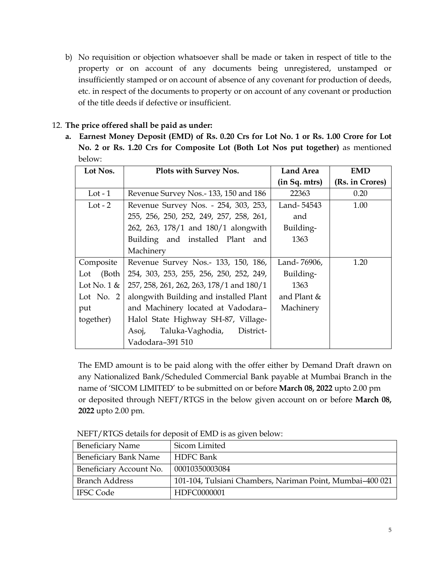b) No requisition or objection whatsoever shall be made or taken in respect of title to the property or on account of any documents being unregistered, unstamped or insufficiently stamped or on account of absence of any covenant for production of deeds, etc. in respect of the documents to property or on account of any covenant or production of the title deeds if defective or insufficient.

## 12. **The price offered shall be paid as under:**

**a. Earnest Money Deposit (EMD) of Rs. 0.20 Crs for Lot No. 1 or Rs. 1.00 Crore for Lot No. 2 or Rs. 1.20 Crs for Composite Lot (Both Lot Nos put together)** as mentioned below:

| Lot Nos.       | Plots with Survey Nos.                   | <b>Land Area</b> | <b>EMD</b>      |
|----------------|------------------------------------------|------------------|-----------------|
|                |                                          | (in Sq. mtrs)    | (Rs. in Crores) |
| Lot - $1$      | Revenue Survey Nos.-133, 150 and 186     | 22363            | 0.20            |
| Lot $-2$       | Revenue Survey Nos. - 254, 303, 253,     | Land-54543       | 1.00            |
|                | 255, 256, 250, 252, 249, 257, 258, 261,  | and              |                 |
|                | 262, 263, 178/1 and 180/1 alongwith      | Building-        |                 |
|                | Building and installed Plant and         | 1363             |                 |
|                | Machinery                                |                  |                 |
| Composite      | Revenue Survey Nos.- 133, 150, 186,      | Land-76906,      | 1.20            |
| (Both<br>Lot   | 254, 303, 253, 255, 256, 250, 252, 249,  | Building-        |                 |
| Lot No. $1 \&$ | 257, 258, 261, 262, 263, 178/1 and 180/1 | 1363             |                 |
| Lot No. $2$    | alongwith Building and installed Plant   | and Plant $\&$   |                 |
| put            | and Machinery located at Vadodara-       | Machinery        |                 |
| together)      | Halol State Highway SH-87, Village-      |                  |                 |
|                | Taluka-Vaghodia,<br>District-<br>Asoj,   |                  |                 |
|                | Vadodara-391 510                         |                  |                 |

The EMD amount is to be paid along with the offer either by Demand Draft drawn on any Nationalized Bank/Scheduled Commercial Bank payable at Mumbai Branch in the name of 'SICOM LIMITED' to be submitted on or before **March 08, 2022** upto 2.00 pm or deposited through NEFT/RTGS in the below given account on or before **March 08, 2022** upto 2.00 pm.

| <b>Beneficiary Name</b>      | Sicom Limited                                             |
|------------------------------|-----------------------------------------------------------|
| <b>Beneficiary Bank Name</b> | <b>HDFC</b> Bank                                          |
| Beneficiary Account No.      | 00010350003084                                            |
| <b>Branch Address</b>        | 101-104, Tulsiani Chambers, Nariman Point, Mumbai-400 021 |
| <b>IFSC Code</b>             | HDFC0000001                                               |

NEFT/RTGS details for deposit of EMD is as given below: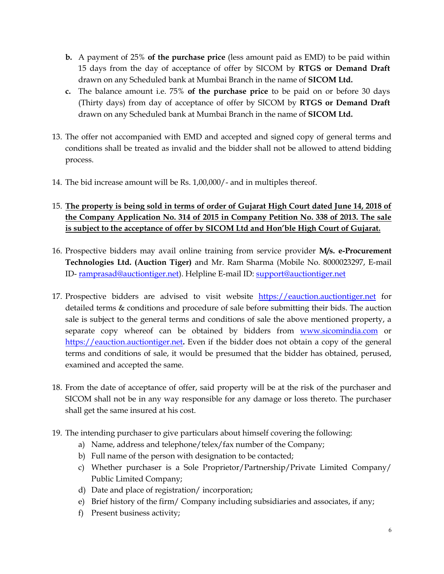- **b.** A payment of 25% **of the purchase price** (less amount paid as EMD) to be paid within 15 days from the day of acceptance of offer by SICOM by **RTGS or Demand Draft** drawn on any Scheduled bank at Mumbai Branch in the name of **SICOM Ltd.**
- **c.** The balance amount i.e. 75% **of the purchase price** to be paid on or before 30 days (Thirty days) from day of acceptance of offer by SICOM by **RTGS or Demand Draft** drawn on any Scheduled bank at Mumbai Branch in the name of **SICOM Ltd.**
- 13. The offer not accompanied with EMD and accepted and signed copy of general terms and conditions shall be treated as invalid and the bidder shall not be allowed to attend bidding process.
- 14. The bid increase amount will be Rs. 1,00,000/- and in multiples thereof.

# 15. **The property is being sold in terms of order of Gujarat High Court dated June 14, 2018 of the Company Application No. 314 of 2015 in Company Petition No. 338 of 2013. The sale is subject to the acceptance of offer by SICOM Ltd and Hon'ble High Court of Gujarat.**

- 16. Prospective bidders may avail online training from service provider **M/s. e-Procurement Technologies Ltd. (Auction Tiger)** and Mr. Ram Sharma (Mobile No. 8000023297, E-mail ID- [ramprasad@auctiontiger.net\)](mailto:ramprasad@auctiontiger.net). Helpline E-mail ID: [support@auctiontiger.net](mailto:support@auctiontiger.net)
- 17. Prospective bidders are advised to visit website [https://eauction.auctiontiger.net](https://eauction.auctiontiger.net/) for detailed terms & conditions and procedure of sale before submitting their bids. The auction sale is subject to the general terms and conditions of sale the above mentioned property, a separate copy whereof can be obtained by bidders from [www.sicomindia.com](http://www.sicomindia.com/) or [https://eauction.auctiontiger.net](https://eauction.auctiontiger.net/)**.** Even if the bidder does not obtain a copy of the general terms and conditions of sale, it would be presumed that the bidder has obtained, perused, examined and accepted the same.
- 18. From the date of acceptance of offer, said property will be at the risk of the purchaser and SICOM shall not be in any way responsible for any damage or loss thereto. The purchaser shall get the same insured at his cost.
- 19. The intending purchaser to give particulars about himself covering the following:
	- a) Name, address and telephone/telex/fax number of the Company;
	- b) Full name of the person with designation to be contacted;
	- c) Whether purchaser is a Sole Proprietor/Partnership/Private Limited Company/ Public Limited Company;
	- d) Date and place of registration/ incorporation;
	- e) Brief history of the firm/ Company including subsidiaries and associates, if any;
	- f) Present business activity;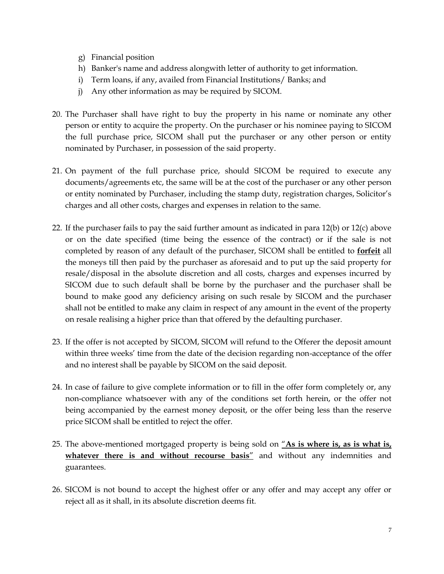- g) Financial position
- h) Banker's name and address alongwith letter of authority to get information.
- i) Term loans, if any, availed from Financial Institutions/ Banks; and
- j) Any other information as may be required by SICOM.
- 20. The Purchaser shall have right to buy the property in his name or nominate any other person or entity to acquire the property. On the purchaser or his nominee paying to SICOM the full purchase price, SICOM shall put the purchaser or any other person or entity nominated by Purchaser, in possession of the said property.
- 21. On payment of the full purchase price, should SICOM be required to execute any documents/agreements etc, the same will be at the cost of the purchaser or any other person or entity nominated by Purchaser, including the stamp duty, registration charges, Solicitor's charges and all other costs, charges and expenses in relation to the same.
- 22. If the purchaser fails to pay the said further amount as indicated in para 12(b) or 12(c) above or on the date specified (time being the essence of the contract) or if the sale is not completed by reason of any default of the purchaser, SICOM shall be entitled to **forfeit** all the moneys till then paid by the purchaser as aforesaid and to put up the said property for resale/disposal in the absolute discretion and all costs, charges and expenses incurred by SICOM due to such default shall be borne by the purchaser and the purchaser shall be bound to make good any deficiency arising on such resale by SICOM and the purchaser shall not be entitled to make any claim in respect of any amount in the event of the property on resale realising a higher price than that offered by the defaulting purchaser.
- 23. If the offer is not accepted by SICOM, SICOM will refund to the Offerer the deposit amount within three weeks' time from the date of the decision regarding non-acceptance of the offer and no interest shall be payable by SICOM on the said deposit.
- 24. In case of failure to give complete information or to fill in the offer form completely or, any non-compliance whatsoever with any of the conditions set forth herein, or the offer not being accompanied by the earnest money deposit, or the offer being less than the reserve price SICOM shall be entitled to reject the offer.
- 25. The above-mentioned mortgaged property is being sold on "**As is where is, as is what is, whatever there is and without recourse basis**" and without any indemnities and guarantees.
- 26. SICOM is not bound to accept the highest offer or any offer and may accept any offer or reject all as it shall, in its absolute discretion deems fit.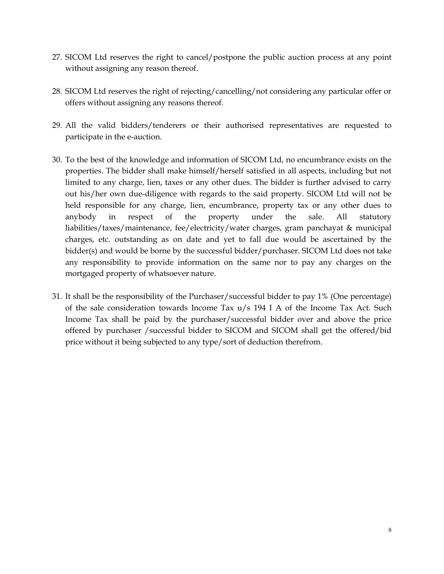- 27. SICOM Ltd reserves the right to cancel/postpone the public auction process at any point without assigning any reason thereof.
- 28. SICOM Ltd reserves the right of rejecting/cancelling/not considering any particular offer or offers without assigning any reasons thereof.
- 29. All the valid bidders/tenderers or their authorised representatives are requested to participate in the e-auction.
- 30. To the best of the knowledge and information of SICOM Ltd, no encumbrance exists on the properties. The bidder shall make himself/herself satisfied in all aspects, including but not limited to any charge, lien, taxes or any other dues. The bidder is further advised to carry out his/her own due-diligence with regards to the said property. SICOM Ltd will not be held responsible for any charge, lien, encumbrance, property tax or any other dues to anybody in respect of the property under the sale. All statutory liabilities/taxes/maintenance, fee/electricity/water charges, gram panchayat & municipal charges, etc. outstanding as on date and yet to fall due would be ascertained by the bidder(s) and would be borne by the successful bidder/purchaser. SICOM Ltd does not take any responsibility to provide information on the same nor to pay any charges on the mortgaged property of whatsoever nature.
- 31. It shall be the responsibility of the Purchaser/successful bidder to pay 1% (One percentage) of the sale consideration towards Income Tax u/s 194 I A of the Income Tax Act. Such Income Tax shall be paid by the purchaser/successful bidder over and above the price offered by purchaser /successful bidder to SICOM and SICOM shall get the offered/bid price without it being subjected to any type/sort of deduction therefrom.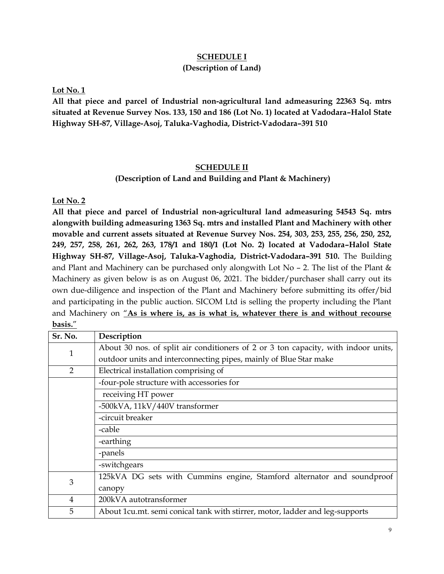### **SCHEDULE I (Description of Land)**

**Lot No. 1**

**All that piece and parcel of Industrial non-agricultural land admeasuring 22363 Sq. mtrs situated at Revenue Survey Nos. 133, 150 and 186 (Lot No. 1) located at Vadodara–Halol State Highway SH-87, Village-Asoj, Taluka-Vaghodia, District-Vadodara–391 510**

#### **SCHEDULE II**

#### **(Description of Land and Building and Plant & Machinery)**

**Lot No. 2**

**All that piece and parcel of Industrial non-agricultural land admeasuring 54543 Sq. mtrs alongwith building admeasuring 1363 Sq. mtrs and installed Plant and Machinery with other movable and current assets situated at Revenue Survey Nos. 254, 303, 253, 255, 256, 250, 252, 249, 257, 258, 261, 262, 263, 178/1 and 180/1 (Lot No. 2) located at Vadodara–Halol State Highway SH-87, Village-Asoj, Taluka-Vaghodia, District-Vadodara–391 510.** The Building and Plant and Machinery can be purchased only alongwith Lot No – 2. The list of the Plant  $\&$ Machinery as given below is as on August 06, 2021. The bidder/purchaser shall carry out its own due-diligence and inspection of the Plant and Machinery before submitting its offer/bid and participating in the public auction. SICOM Ltd is selling the property including the Plant and Machinery on "**As is where is, as is what is, whatever there is and without recourse basis.**"

| Sr. No.        | Description                                                                        |
|----------------|------------------------------------------------------------------------------------|
| $\mathbf{1}$   | About 30 nos. of split air conditioners of 2 or 3 ton capacity, with indoor units, |
|                | outdoor units and interconnecting pipes, mainly of Blue Star make                  |
| $\overline{2}$ | Electrical installation comprising of                                              |
|                | -four-pole structure with accessories for                                          |
|                | receiving HT power                                                                 |
|                | -500kVA, 11kV/440V transformer                                                     |
|                | -circuit breaker                                                                   |
|                | -cable                                                                             |
|                | -earthing                                                                          |
|                | -panels                                                                            |
|                | -switchgears                                                                       |
| 3              | 125kVA DG sets with Cummins engine, Stamford alternator and soundproof             |
|                | canopy                                                                             |
| 4              | 200kVA autotransformer                                                             |
| 5              | About 1cu.mt. semi conical tank with stirrer, motor, ladder and leg-supports       |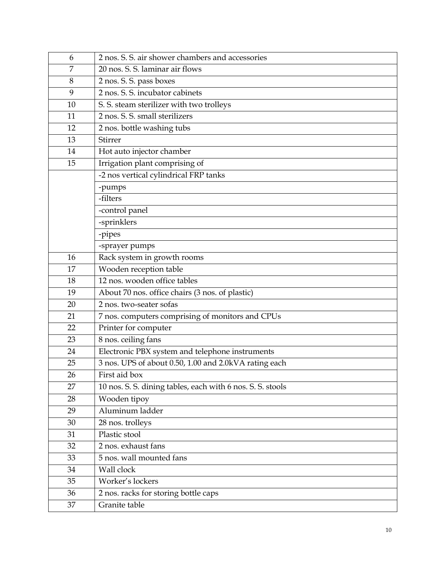| 6  | 2 nos. S. S. air shower chambers and accessories           |
|----|------------------------------------------------------------|
| 7  | 20 nos. S. S. laminar air flows                            |
| 8  | 2 nos. S. S. pass boxes                                    |
| 9  | 2 nos. S. S. incubator cabinets                            |
| 10 | S. S. steam sterilizer with two trolleys                   |
| 11 | 2 nos. S. S. small sterilizers                             |
| 12 | 2 nos. bottle washing tubs                                 |
| 13 | Stirrer                                                    |
| 14 | Hot auto injector chamber                                  |
| 15 | Irrigation plant comprising of                             |
|    | -2 nos vertical cylindrical FRP tanks                      |
|    | -pumps                                                     |
|    | -filters                                                   |
|    | -control panel                                             |
|    | -sprinklers                                                |
|    | -pipes                                                     |
|    | -sprayer pumps                                             |
| 16 | Rack system in growth rooms                                |
| 17 | Wooden reception table                                     |
| 18 | 12 nos. wooden office tables                               |
| 19 | About 70 nos. office chairs (3 nos. of plastic)            |
| 20 | 2 nos. two-seater sofas                                    |
| 21 | 7 nos. computers comprising of monitors and CPUs           |
| 22 | Printer for computer                                       |
| 23 | 8 nos. ceiling fans                                        |
| 24 | Electronic PBX system and telephone instruments            |
| 25 | 3 nos. UPS of about 0.50, 1.00 and 2.0kVA rating each      |
| 26 | First aid box                                              |
| 27 | 10 nos. S. S. dining tables, each with 6 nos. S. S. stools |
| 28 | Wooden tipoy                                               |
| 29 | Aluminum ladder                                            |
| 30 | 28 nos. trolleys                                           |
| 31 | Plastic stool                                              |
| 32 | 2 nos. exhaust fans                                        |
| 33 | 5 nos. wall mounted fans                                   |
| 34 | Wall clock                                                 |
| 35 | Worker's lockers                                           |
| 36 | 2 nos. racks for storing bottle caps                       |
| 37 | Granite table                                              |